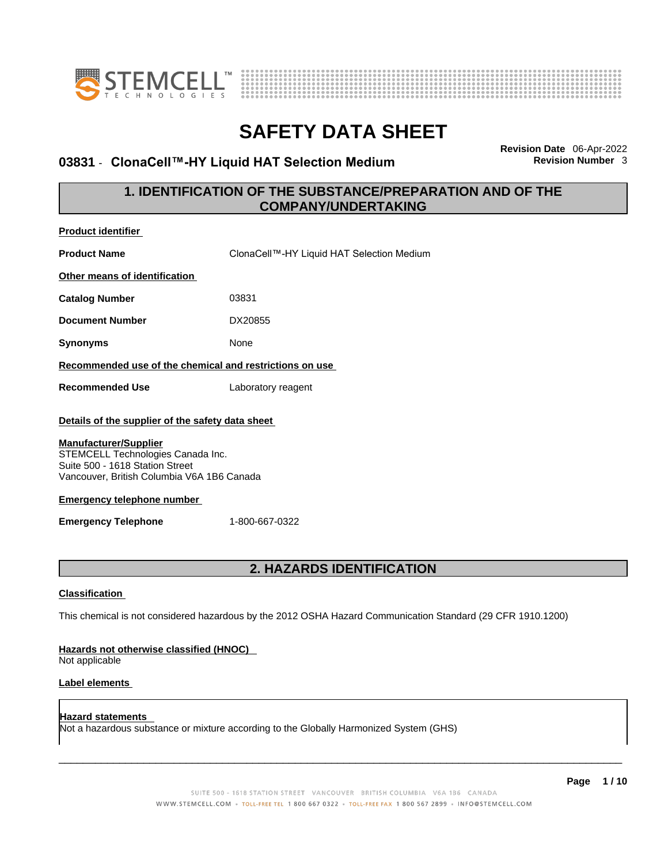



### **03831 · ClonaCell™-HY Liquid HAT Selection Medium**

**Revision Date** 06-Apr-2022

### **1. IDENTIFICATION OF THE SUBSTANCE/PREPARATION AND OF THE COMPANY/UNDERTAKING**

| <b>Product identifier</b>                                                                                                                                                                                                                                                 |                                                                                                             |
|---------------------------------------------------------------------------------------------------------------------------------------------------------------------------------------------------------------------------------------------------------------------------|-------------------------------------------------------------------------------------------------------------|
| <b>Product Name</b>                                                                                                                                                                                                                                                       | ClonaCell™-HY Liquid HAT Selection Medium                                                                   |
| Other means of identification                                                                                                                                                                                                                                             |                                                                                                             |
| <b>Catalog Number</b>                                                                                                                                                                                                                                                     | 03831                                                                                                       |
| <b>Document Number</b>                                                                                                                                                                                                                                                    | DX20855                                                                                                     |
| <b>Synonyms</b>                                                                                                                                                                                                                                                           | None                                                                                                        |
| Recommended use of the chemical and restrictions on use                                                                                                                                                                                                                   |                                                                                                             |
| <b>Recommended Use</b>                                                                                                                                                                                                                                                    | Laboratory reagent                                                                                          |
| Details of the supplier of the safety data sheet<br><b>Manufacturer/Supplier</b><br>STEMCELL Technologies Canada Inc.<br>Suite 500 - 1618 Station Street<br>Vancouver, British Columbia V6A 1B6 Canada<br><b>Emergency telephone number</b><br><b>Emergency Telephone</b> | 1-800-667-0322                                                                                              |
|                                                                                                                                                                                                                                                                           | 2. HAZARDS IDENTIFICATION                                                                                   |
| <b>Classification</b>                                                                                                                                                                                                                                                     |                                                                                                             |
|                                                                                                                                                                                                                                                                           | This chemical is not considered hazardous by the 2012 OSHA Hazard Communication Standard (29 CFR 1910.1200) |
| Hazards not otherwise classified (HNOC)<br>Not applicable                                                                                                                                                                                                                 |                                                                                                             |
| Label elements                                                                                                                                                                                                                                                            |                                                                                                             |
| Hazard statements                                                                                                                                                                                                                                                         | Not a hazardous substance or mixture according to the Globally Harmonized System (GHS)                      |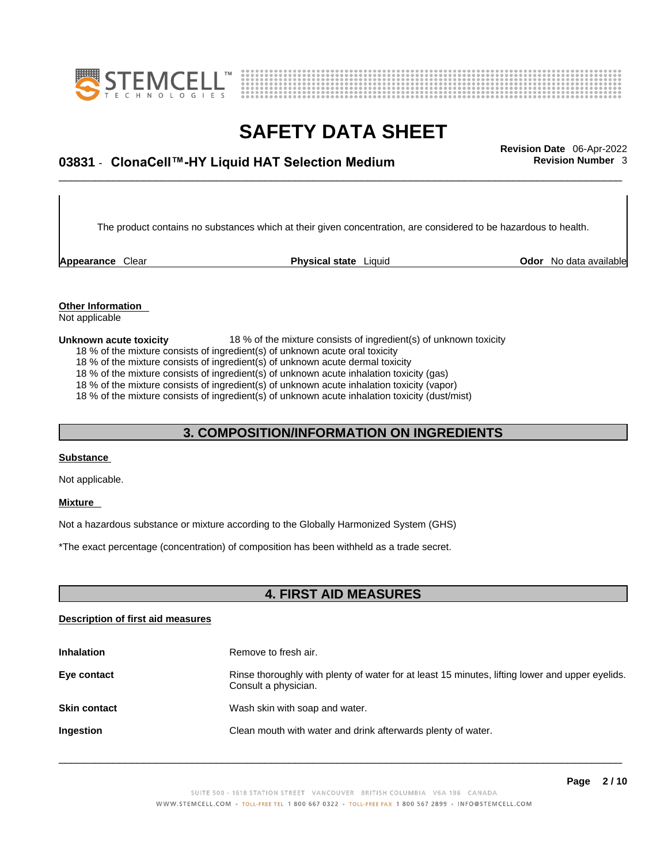



## \_\_\_\_\_\_\_\_\_\_\_\_\_\_\_\_\_\_\_\_\_\_\_\_\_\_\_\_\_\_\_\_\_\_\_\_\_\_\_\_\_\_\_\_\_\_\_\_\_\_\_\_\_\_\_\_\_\_\_\_\_\_\_\_\_\_\_\_\_\_\_\_\_\_\_\_\_\_\_\_\_\_\_\_\_\_\_\_\_\_\_\_\_ **Revision Date** 06-Apr-2022 **03831** - **ClonaCell™-HY Liquid HAT Selection Medium Revision Number** 3

The product contains no substances which at their given concentration, are considered to be hazardous to health.

**Appearance** Clear **Physical state** Liquid

**Odor** No data available

**Other Information**  Not applicable

#### **Unknown acute toxicity** 18 % of the mixture consists of ingredient(s) of unknown toxicity

18 % of the mixture consists of ingredient(s) of unknown acute oral toxicity

18 % of the mixture consists of ingredient(s) of unknown acute dermal toxicity

18 % of the mixture consists of ingredient(s) of unknown acute inhalation toxicity (gas)

18 % of the mixture consists of ingredient(s) of unknown acute inhalation toxicity (vapor)

18 % of the mixture consists of ingredient(s) of unknown acute inhalation toxicity (dust/mist)

### **3. COMPOSITION/INFORMATION ON INGREDIENTS**

#### **Substance**

Not applicable.

#### **Mixture**

Not a hazardous substance or mixture according to the Globally Harmonized System (GHS)

\*The exact percentage (concentration) of composition has been withheld as a trade secret.

### **4. FIRST AID MEASURES**

#### **Description of first aid measures**

| <b>Inhalation</b>   | Remove to fresh air.                                                                                                    |
|---------------------|-------------------------------------------------------------------------------------------------------------------------|
| Eye contact         | Rinse thoroughly with plenty of water for at least 15 minutes, lifting lower and upper eyelids.<br>Consult a physician. |
| <b>Skin contact</b> | Wash skin with soap and water.                                                                                          |
| <b>Ingestion</b>    | Clean mouth with water and drink afterwards plenty of water.                                                            |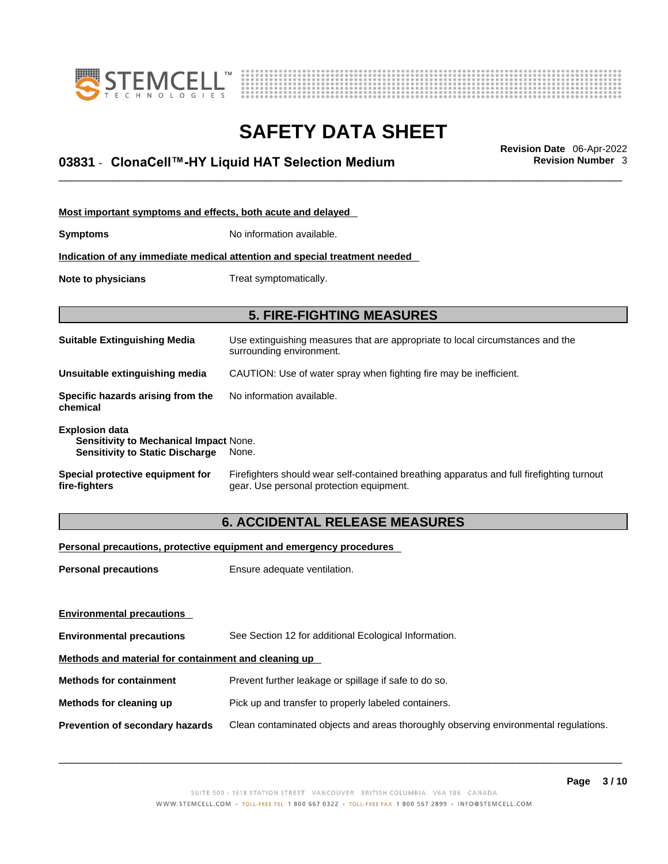



## \_\_\_\_\_\_\_\_\_\_\_\_\_\_\_\_\_\_\_\_\_\_\_\_\_\_\_\_\_\_\_\_\_\_\_\_\_\_\_\_\_\_\_\_\_\_\_\_\_\_\_\_\_\_\_\_\_\_\_\_\_\_\_\_\_\_\_\_\_\_\_\_\_\_\_\_\_\_\_\_\_\_\_\_\_\_\_\_\_\_\_\_\_ **Revision Date** 06-Apr-2022 **03831** - **ClonaCell™-HY Liquid HAT Selection Medium Revision Number** 3

| Most important symptoms and effects, both acute and delayed                                                      |                                                                                                                                       |  |  |
|------------------------------------------------------------------------------------------------------------------|---------------------------------------------------------------------------------------------------------------------------------------|--|--|
| <b>Symptoms</b>                                                                                                  | No information available.                                                                                                             |  |  |
|                                                                                                                  | Indication of any immediate medical attention and special treatment needed                                                            |  |  |
| Note to physicians<br>Treat symptomatically.                                                                     |                                                                                                                                       |  |  |
|                                                                                                                  | <b>5. FIRE-FIGHTING MEASURES</b>                                                                                                      |  |  |
| <b>Suitable Extinguishing Media</b>                                                                              | Use extinguishing measures that are appropriate to local circumstances and the<br>surrounding environment.                            |  |  |
| Unsuitable extinguishing media                                                                                   | CAUTION: Use of water spray when fighting fire may be inefficient.                                                                    |  |  |
| Specific hazards arising from the<br>chemical                                                                    | No information available.                                                                                                             |  |  |
| <b>Explosion data</b><br><b>Sensitivity to Mechanical Impact None.</b><br><b>Sensitivity to Static Discharge</b> | None.                                                                                                                                 |  |  |
| Special protective equipment for<br>fire-fighters                                                                | Firefighters should wear self-contained breathing apparatus and full firefighting turnout<br>gear. Use personal protection equipment. |  |  |

### **6. ACCIDENTAL RELEASE MEASURES**

#### **Personal precautions, protective equipment and emergency procedures**

| <b>Personal precautions</b>                          | Ensure adequate ventilation.                                                         |  |
|------------------------------------------------------|--------------------------------------------------------------------------------------|--|
|                                                      |                                                                                      |  |
|                                                      |                                                                                      |  |
| <b>Environmental precautions</b>                     | See Section 12 for additional Ecological Information.                                |  |
| Methods and material for containment and cleaning up |                                                                                      |  |
| <b>Methods for containment</b>                       | Prevent further leakage or spillage if safe to do so.                                |  |
| Methods for cleaning up                              | Pick up and transfer to properly labeled containers.                                 |  |
| Prevention of secondary hazards                      | Clean contaminated objects and areas thoroughly observing environmental regulations. |  |
| <b>Environmental precautions</b>                     |                                                                                      |  |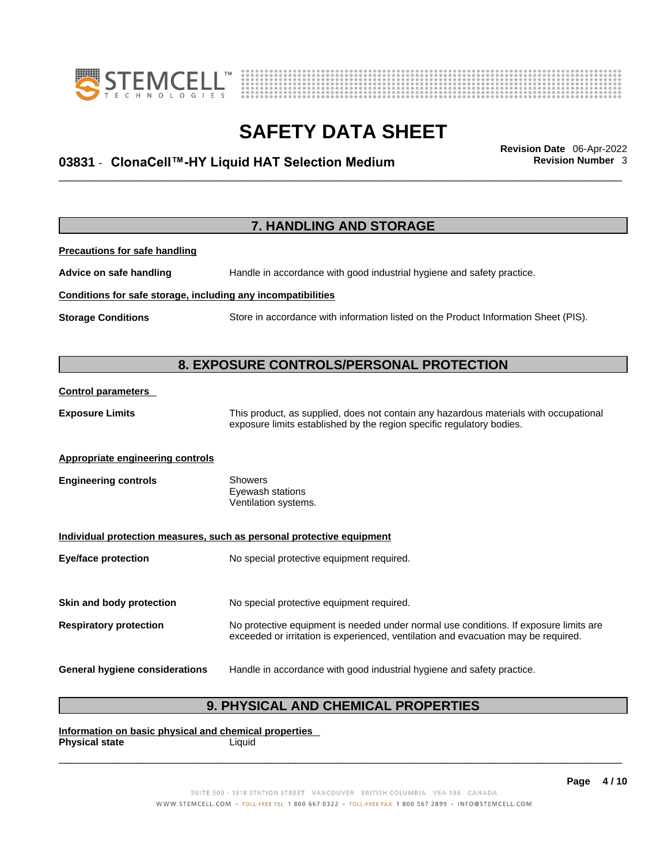



## \_\_\_\_\_\_\_\_\_\_\_\_\_\_\_\_\_\_\_\_\_\_\_\_\_\_\_\_\_\_\_\_\_\_\_\_\_\_\_\_\_\_\_\_\_\_\_\_\_\_\_\_\_\_\_\_\_\_\_\_\_\_\_\_\_\_\_\_\_\_\_\_\_\_\_\_\_\_\_\_\_\_\_\_\_\_\_\_\_\_\_\_\_ **Revision Date** 06-Apr-2022 **03831** - **ClonaCell™-HY Liquid HAT Selection Medium Revision Number** 3

|                                                              | 7. HANDLING AND STORAGE                                                                                                                                                     |
|--------------------------------------------------------------|-----------------------------------------------------------------------------------------------------------------------------------------------------------------------------|
| <b>Precautions for safe handling</b>                         |                                                                                                                                                                             |
| Advice on safe handling                                      | Handle in accordance with good industrial hygiene and safety practice.                                                                                                      |
| Conditions for safe storage, including any incompatibilities |                                                                                                                                                                             |
| <b>Storage Conditions</b>                                    | Store in accordance with information listed on the Product Information Sheet (PIS).                                                                                         |
|                                                              |                                                                                                                                                                             |
|                                                              | 8. EXPOSURE CONTROLS/PERSONAL PROTECTION                                                                                                                                    |
| <b>Control parameters</b>                                    |                                                                                                                                                                             |
| <b>Exposure Limits</b>                                       | This product, as supplied, does not contain any hazardous materials with occupational<br>exposure limits established by the region specific regulatory bodies.              |
| <b>Appropriate engineering controls</b>                      |                                                                                                                                                                             |
| <b>Engineering controls</b>                                  | Showers<br>Eyewash stations<br>Ventilation systems.                                                                                                                         |
|                                                              | Individual protection measures, such as personal protective equipment                                                                                                       |
| <b>Eye/face protection</b>                                   | No special protective equipment required.                                                                                                                                   |
| Skin and body protection                                     | No special protective equipment required.                                                                                                                                   |
|                                                              |                                                                                                                                                                             |
| <b>Respiratory protection</b>                                | No protective equipment is needed under normal use conditions. If exposure limits are<br>exceeded or irritation is experienced, ventilation and evacuation may be required. |
| <b>General hygiene considerations</b>                        | Handle in accordance with good industrial hygiene and safety practice.                                                                                                      |

## **9. PHYSICAL AND CHEMICAL PROPERTIES**

**Information on basic physical and chemical properties Physical state** Liquid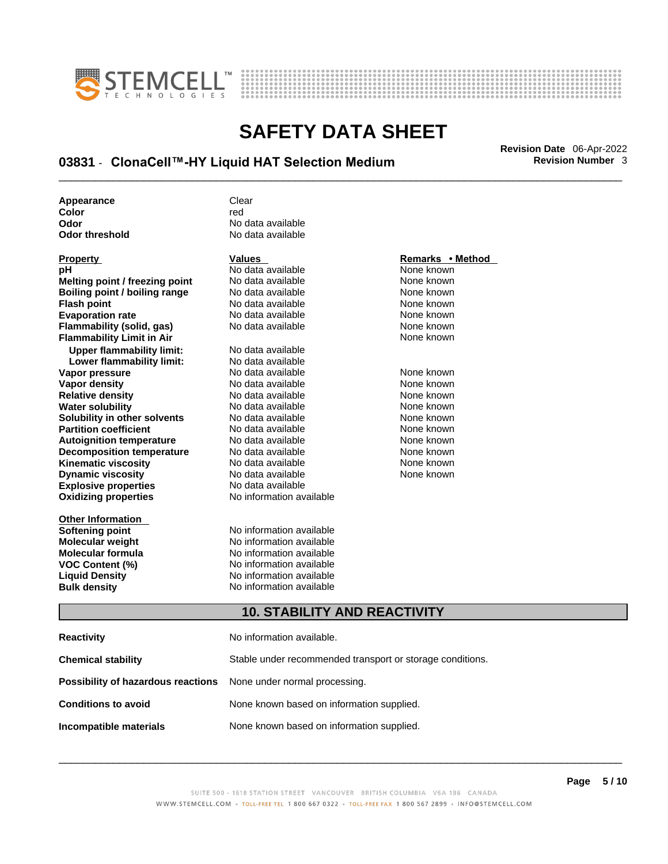



## \_\_\_\_\_\_\_\_\_\_\_\_\_\_\_\_\_\_\_\_\_\_\_\_\_\_\_\_\_\_\_\_\_\_\_\_\_\_\_\_\_\_\_\_\_\_\_\_\_\_\_\_\_\_\_\_\_\_\_\_\_\_\_\_\_\_\_\_\_\_\_\_\_\_\_\_\_\_\_\_\_\_\_\_\_\_\_\_\_\_\_\_\_ **Revision Date** 06-Apr-2022 **03831** - **ClonaCell™-HY Liquid HAT Selection Medium Revision Number** 3

| Appearance     | Clear             |
|----------------|-------------------|
| Color          | red               |
| Odor           | No data available |
| Odor threshold | No data available |

| <b>Property</b>                     | <b>Values</b>                                             | Remarks • Method |  |
|-------------------------------------|-----------------------------------------------------------|------------------|--|
| рH                                  | No data available                                         | None known       |  |
| Melting point / freezing point      | No data available                                         | None known       |  |
| Boiling point / boiling range       | No data available                                         | None known       |  |
| <b>Flash point</b>                  | No data available                                         | None known       |  |
| <b>Evaporation rate</b>             | No data available                                         | None known       |  |
| Flammability (solid, gas)           | No data available                                         | None known       |  |
| <b>Flammability Limit in Air</b>    |                                                           | None known       |  |
| <b>Upper flammability limit:</b>    | No data available                                         |                  |  |
| Lower flammability limit:           | No data available                                         |                  |  |
| Vapor pressure                      | No data available                                         | None known       |  |
| <b>Vapor density</b>                | No data available                                         | None known       |  |
| <b>Relative density</b>             | No data available                                         | None known       |  |
| <b>Water solubility</b>             | No data available                                         | None known       |  |
| Solubility in other solvents        | No data available                                         | None known       |  |
| <b>Partition coefficient</b>        | No data available                                         | None known       |  |
| <b>Autoignition temperature</b>     | No data available                                         | None known       |  |
| <b>Decomposition temperature</b>    | No data available                                         | None known       |  |
| <b>Kinematic viscosity</b>          | No data available                                         | None known       |  |
| <b>Dynamic viscosity</b>            | No data available                                         | None known       |  |
| <b>Explosive properties</b>         | No data available                                         |                  |  |
| <b>Oxidizing properties</b>         | No information available                                  |                  |  |
| <b>Other Information</b>            |                                                           |                  |  |
| <b>Softening point</b>              | No information available                                  |                  |  |
| <b>Molecular weight</b>             | No information available                                  |                  |  |
| <b>Molecular formula</b>            | No information available                                  |                  |  |
| <b>VOC Content (%)</b>              | No information available                                  |                  |  |
| <b>Liquid Density</b>               | No information available                                  |                  |  |
| <b>Bulk density</b>                 | No information available                                  |                  |  |
| <b>10. STABILITY AND REACTIVITY</b> |                                                           |                  |  |
| <b>Reactivity</b>                   | No information available.                                 |                  |  |
| <b>Chemical stability</b>           | Stable under recommended transport or storage conditions. |                  |  |
| Possibility of hazardous reactions  | None under normal processing.                             |                  |  |

### **Conditions to avoid** None known based on information supplied.

**Incompatible materials** None known based on information supplied.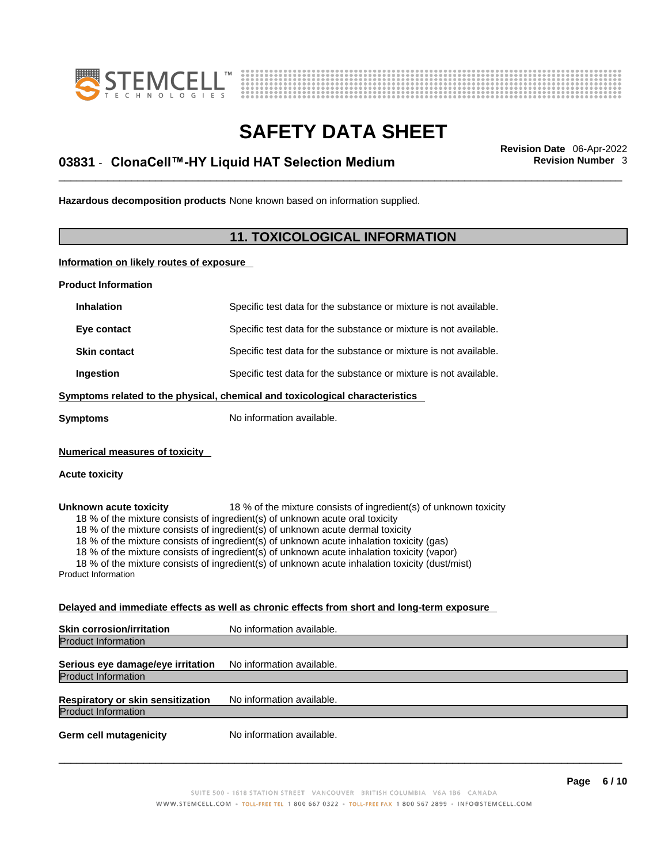



## \_\_\_\_\_\_\_\_\_\_\_\_\_\_\_\_\_\_\_\_\_\_\_\_\_\_\_\_\_\_\_\_\_\_\_\_\_\_\_\_\_\_\_\_\_\_\_\_\_\_\_\_\_\_\_\_\_\_\_\_\_\_\_\_\_\_\_\_\_\_\_\_\_\_\_\_\_\_\_\_\_\_\_\_\_\_\_\_\_\_\_\_\_ **Revision Date** 06-Apr-2022 **03831** - **ClonaCell™-HY Liquid HAT Selection Medium Revision Number** 3

**Hazardous decomposition products** None known based on information supplied.

### **11. TOXICOLOGICAL INFORMATION**

**Information on likely routes of exposure**

**Product Information**

| <b>Inhalation</b>                                                            | Specific test data for the substance or mixture is not available. |  |
|------------------------------------------------------------------------------|-------------------------------------------------------------------|--|
| Eye contact                                                                  | Specific test data for the substance or mixture is not available. |  |
| <b>Skin contact</b>                                                          | Specific test data for the substance or mixture is not available. |  |
| Ingestion                                                                    | Specific test data for the substance or mixture is not available. |  |
| Symptoms related to the physical, chemical and toxicological characteristics |                                                                   |  |
| Symptoms                                                                     | No information available.                                         |  |

**Numerical measures of toxicity**

#### **Acute toxicity**

**Unknown acute toxicity** 18 % of the mixture consists of ingredient(s) of unknown toxicity 18 % of the mixture consists of ingredient(s) of unknown acute oral toxicity

18 % of the mixture consists of ingredient(s) of unknown acute dermal toxicity

18 % of the mixture consists of ingredient(s) of unknown acute inhalation toxicity (gas)

18 % of the mixture consists of ingredient(s) of unknown acute inhalation toxicity (vapor)

18 % of the mixture consists of ingredient(s) of unknown acute inhalation toxicity (dust/mist)

Product Information

#### **Delayed and immediate effects as well as chronic effects from short and long-term exposure**

| <b>Skin corrosion/irritation</b>         | No information available. |  |
|------------------------------------------|---------------------------|--|
| Product Information                      |                           |  |
| Serious eye damage/eye irritation        | No information available. |  |
| <b>Product Information</b>               |                           |  |
| <b>Respiratory or skin sensitization</b> | No information available. |  |
| <b>Product Information</b>               |                           |  |
| <b>Germ cell mutagenicity</b>            | No information available. |  |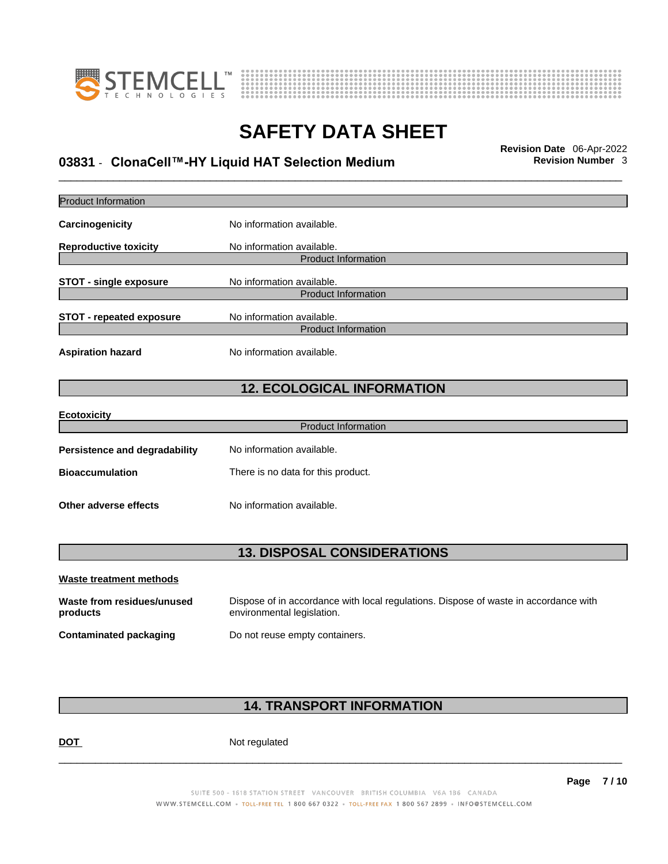



## \_\_\_\_\_\_\_\_\_\_\_\_\_\_\_\_\_\_\_\_\_\_\_\_\_\_\_\_\_\_\_\_\_\_\_\_\_\_\_\_\_\_\_\_\_\_\_\_\_\_\_\_\_\_\_\_\_\_\_\_\_\_\_\_\_\_\_\_\_\_\_\_\_\_\_\_\_\_\_\_\_\_\_\_\_\_\_\_\_\_\_\_\_ **Revision Date** 06-Apr-2022 **03831** - **ClonaCell™-HY Liquid HAT Selection Medium Revision Number** 3

| <b>Product Information</b>             |                                                                                                                    |  |
|----------------------------------------|--------------------------------------------------------------------------------------------------------------------|--|
| Carcinogenicity                        | No information available.                                                                                          |  |
| <b>Reproductive toxicity</b>           | No information available.<br><b>Product Information</b>                                                            |  |
| <b>STOT - single exposure</b>          | No information available.<br><b>Product Information</b>                                                            |  |
| <b>STOT - repeated exposure</b>        | No information available.<br><b>Product Information</b>                                                            |  |
| <b>Aspiration hazard</b>               | No information available.                                                                                          |  |
|                                        | <b>12. ECOLOGICAL INFORMATION</b>                                                                                  |  |
| <b>Ecotoxicity</b>                     | <b>Product Information</b>                                                                                         |  |
|                                        |                                                                                                                    |  |
| <b>Persistence and degradability</b>   | No information available.                                                                                          |  |
| <b>Bioaccumulation</b>                 | There is no data for this product.                                                                                 |  |
| <b>Other adverse effects</b>           | No information available.                                                                                          |  |
| <b>13. DISPOSAL CONSIDERATIONS</b>     |                                                                                                                    |  |
| Waste treatment methods                |                                                                                                                    |  |
| Waste from residues/unused<br>products | Dispose of in accordance with local regulations. Dispose of waste in accordance with<br>environmental legislation. |  |
| <b>Contaminated packaging</b>          | Do not reuse empty containers.                                                                                     |  |
|                                        |                                                                                                                    |  |

### **14. TRANSPORT INFORMATION**

DOT Not regulated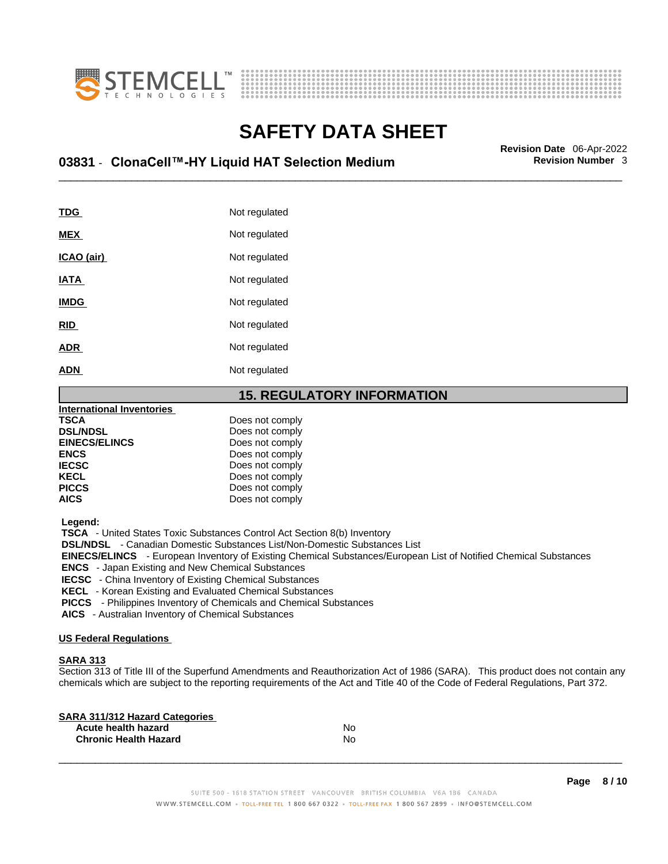



## \_\_\_\_\_\_\_\_\_\_\_\_\_\_\_\_\_\_\_\_\_\_\_\_\_\_\_\_\_\_\_\_\_\_\_\_\_\_\_\_\_\_\_\_\_\_\_\_\_\_\_\_\_\_\_\_\_\_\_\_\_\_\_\_\_\_\_\_\_\_\_\_\_\_\_\_\_\_\_\_\_\_\_\_\_\_\_\_\_\_\_\_\_ **Revision Date** 06-Apr-2022 **03831** - **ClonaCell™-HY Liquid HAT Selection Medium Revision Number** 3

| <b>TDG</b>  | Not regulated |
|-------------|---------------|
| <b>MEX</b>  | Not regulated |
| ICAO (air)  | Not regulated |
| <b>IATA</b> | Not regulated |
| <b>IMDG</b> | Not regulated |
| <b>RID</b>  | Not regulated |
| <b>ADR</b>  | Not regulated |
| <b>ADN</b>  | Not regulated |

### **15. REGULATORY INFORMATION**

| International Inventories |                 |  |
|---------------------------|-----------------|--|
| <b>TSCA</b>               | Does not comply |  |
| <b>DSL/NDSL</b>           | Does not comply |  |
| <b>EINECS/ELINCS</b>      | Does not comply |  |
| <b>ENCS</b>               | Does not comply |  |
| <b>IECSC</b>              | Does not comply |  |
| <b>KECL</b>               | Does not comply |  |
| <b>PICCS</b>              | Does not comply |  |
| <b>AICS</b>               | Does not comply |  |
|                           |                 |  |

 **Legend:** 

 **TSCA** - United States Toxic Substances Control Act Section 8(b) Inventory

 **DSL/NDSL** - Canadian Domestic Substances List/Non-Domestic Substances List

 **EINECS/ELINCS** - European Inventory of Existing Chemical Substances/European List of Notified Chemical Substances

 **ENCS** - Japan Existing and New Chemical Substances

 **IECSC** - China Inventory of Existing Chemical Substances

 **KECL** - Korean Existing and Evaluated Chemical Substances

 **PICCS** - Philippines Inventory of Chemicals and Chemical Substances

 **AICS** - Australian Inventory of Chemical Substances

#### **US Federal Regulations**

#### **SARA 313**

Section 313 of Title III of the Superfund Amendments and Reauthorization Act of 1986 (SARA). This product does not contain any chemicals which are subject to the reporting requirements of the Act and Title 40 of the Code of Federal Regulations, Part 372.

| No |  |
|----|--|
| N٥ |  |
|    |  |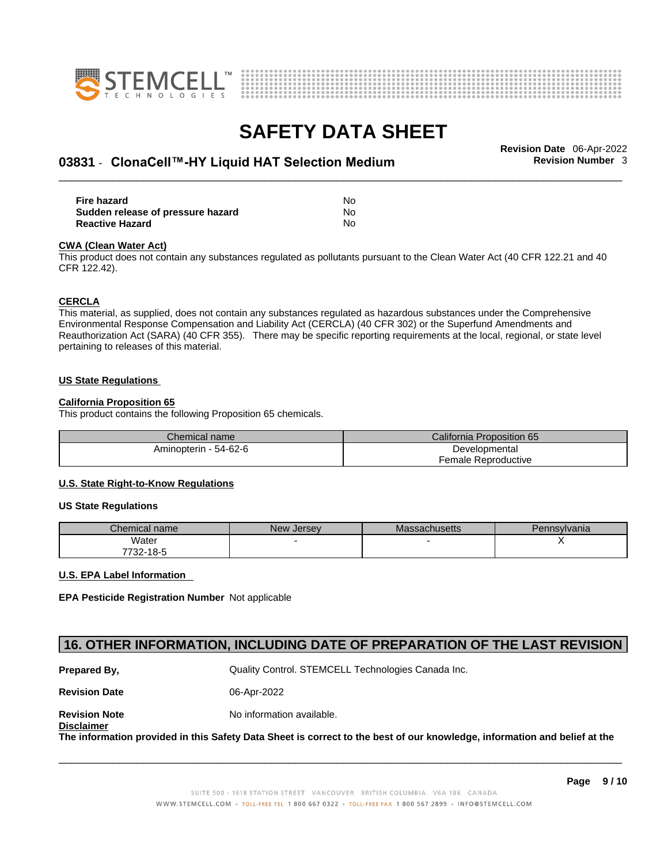



## \_\_\_\_\_\_\_\_\_\_\_\_\_\_\_\_\_\_\_\_\_\_\_\_\_\_\_\_\_\_\_\_\_\_\_\_\_\_\_\_\_\_\_\_\_\_\_\_\_\_\_\_\_\_\_\_\_\_\_\_\_\_\_\_\_\_\_\_\_\_\_\_\_\_\_\_\_\_\_\_\_\_\_\_\_\_\_\_\_\_\_\_\_ **Revision Date** 06-Apr-2022 **03831** - **ClonaCell™-HY Liquid HAT Selection Medium Revision Number** 3

| Fire hazard                       | No  |
|-----------------------------------|-----|
| Sudden release of pressure hazard | No. |
| <b>Reactive Hazard</b>            | No  |

#### **CWA** (Clean Water Act)

This product does not contain any substances regulated as pollutants pursuant to the Clean Water Act (40 CFR 122.21 and 40 CFR 122.42).

#### **CERCLA**

This material, as supplied, does not contain any substances regulated as hazardous substances under the Comprehensive Environmental Response Compensation and Liability Act (CERCLA) (40 CFR 302) or the Superfund Amendments and Reauthorization Act (SARA) (40 CFR 355). There may be specific reporting requirements at the local, regional, or state level pertaining to releases of this material.

#### **US State Regulations**

#### **California Proposition 65**

This product contains the following Proposition 65 chemicals.

| Chemical name         | California Proposition 65 |  |
|-----------------------|---------------------------|--|
| Aminopterin - 54-62-6 | Developmental             |  |
|                       | Female Reproductive       |  |

#### **U.S. State Right-to-Know Regulations**

#### **US State Regulations**

| Chemical name | <b>New Jersey</b> | <b>Massachusetts</b> | Pennsylvania |
|---------------|-------------------|----------------------|--------------|
| Water         |                   |                      |              |
| 7732-18-5     |                   |                      |              |

#### **U.S. EPA Label Information**

**EPA Pesticide Registration Number** Not applicable

### **16. OTHER INFORMATION, INCLUDING DATE OF PREPARATION OF THE LAST REVISION**

**Prepared By, State Control. STEMCELL Technologies Canada Inc.** Cuality Control. STEMCELL Technologies Canada Inc.

**Revision Date** 06-Apr-2022

**Revision Note** Noinformation available. **Disclaimer**

The information provided in this Safety Data Sheet is correct to the best of our knowledge, information and belief at the